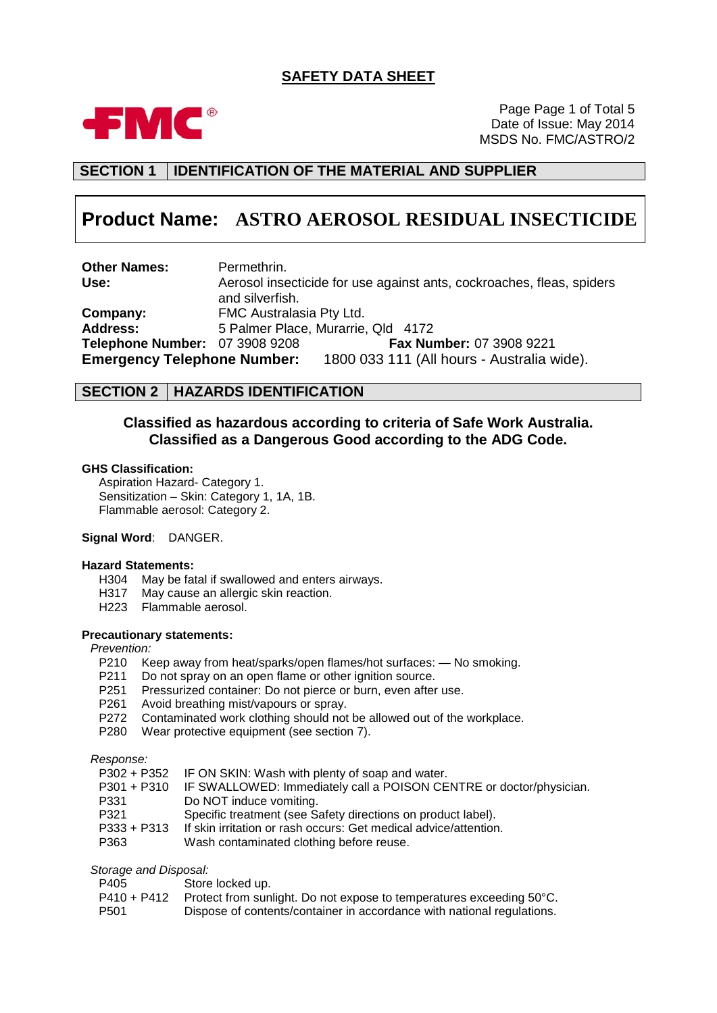## **SAFETY DATA SHEET**



Page Page 1 of Total 5 Date of Issue: May 2014 MSDS No. FMC/ASTRO/2

## **SECTION 1 IDENTIFICATION OF THE MATERIAL AND SUPPLIER**

# **Product Name: ASTRO AEROSOL RESIDUAL INSECTICIDE**

**Other Names:** Permethrin.<br> **Use:** Aerosol inse **Use:** Aerosol insecticide for use against ants, cockroaches, fleas, spiders and silverfish. **Company:** FMC Australasia Pty Ltd.<br> **Address:** 5 Palmer Place, Murarrie **Address:** 5 Palmer Place, Murarrie, Qld 4172 **Telephone Number:** 07 3908 9208 **Emergency Telephone Number:** 1800 033 111 (All hours - Australia wide).

#### **SECTION 2 HAZARDS IDENTIFICATION**

#### **Classified as hazardous according to criteria of Safe Work Australia. Classified as a Dangerous Good according to the ADG Code.**

#### **GHS Classification:**

Aspiration Hazard- Category 1. Sensitization – Skin: Category 1, 1A, 1B. Flammable aerosol: Category 2.

#### **Signal Word**: DANGER.

#### **Hazard Statements:**

- H304 May be fatal if swallowed and enters airways.<br>H317 May cause an allergic skin reaction.
- May cause an allergic skin reaction.
- H223 Flammable aerosol.

#### **Precautionary statements:**

#### *Prevention:*

- P210 Keep away from heat/sparks/open flames/hot surfaces: No smoking.
- P211 Do not spray on an open flame or other ignition source.
- P251 Pressurized container: Do not pierce or burn, even after use.
- P261 Avoid breathing mist/vapours or spray.
- P272 Contaminated work clothing should not be allowed out of the workplace.
- P280 Wear protective equipment (see section 7).

*Response:*

|  | P302 + P352 IF ON SKIN: Wash with plenty of soap and water. |
|--|-------------------------------------------------------------|
|--|-------------------------------------------------------------|

- P301 + P310 IF SWALLOWED: Immediately call a POISON CENTRE or doctor/physician.
- P331 Do NOT induce vomiting.<br>P321 Specific treatment (see S
- Specific treatment (see Safety directions on product label).
- P333 + P313 If skin irritation or rash occurs: Get medical advice/attention.<br>P363 Wash contaminated clothing before reuse
- Wash contaminated clothing before reuse.

*Storage and Disposal:*

| P405             | Store locked up.                                                       |
|------------------|------------------------------------------------------------------------|
| P410 + P412      | Protect from sunlight. Do not expose to temperatures exceeding 50°C.   |
| P <sub>501</sub> | Dispose of contents/container in accordance with national regulations. |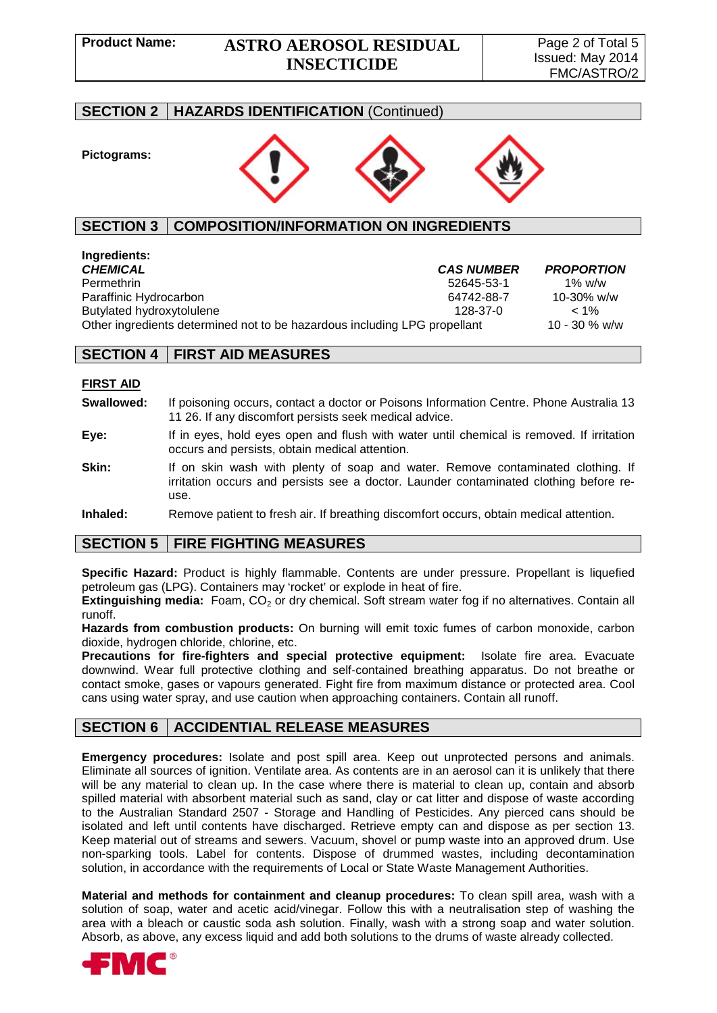## **Product Name: ASTRO AEROSOL RESIDUAL INSECTICIDE**

## **SECTION 2 HAZARDS IDENTIFICATION** (Continued)

#### **Pictograms:**



## **SECTION 3 COMPOSITION/INFORMATION ON INGREDIENTS**

# **Ingredients:**

*CHEMICAL CAS NUMBER PROPORTION* 52645-53-1 1% w/w<br>64742-88-7 10-30% w/w Paraffinic Hydrocarbon 64742-88-7 10-30% w/w Butylated hydroxytolulene 128-37-0  $\leq 1\%$ <br>Other ingredients determined not to be hazardous including LPG propellant 10 - 30 % w/w Other ingredients determined not to be hazardous including LPG propellant

## **SECTION 4 FIRST AID MEASURES**

#### **FIRST AID**

- **Swallowed:** If poisoning occurs, contact a doctor or Poisons Information Centre. Phone Australia 13 11 26. If any discomfort persists seek medical advice.
- **Eye:** If in eyes, hold eyes open and flush with water until chemical is removed. If irritation occurs and persists, obtain medical attention.
- **Skin:** If on skin wash with plenty of soap and water. Remove contaminated clothing. If irritation occurs and persists see a doctor. Launder contaminated clothing before reuse.

**Inhaled:** Remove patient to fresh air. If breathing discomfort occurs, obtain medical attention.

## **SECTION 5 FIRE FIGHTING MEASURES**

**Specific Hazard:** Product is highly flammable. Contents are under pressure. Propellant is liquefied petroleum gas (LPG). Containers may 'rocket' or explode in heat of fire.

**Extinguishing media:** Foam, CO<sub>2</sub> or dry chemical. Soft stream water fog if no alternatives. Contain all runoff.

**Hazards from combustion products:** On burning will emit toxic fumes of carbon monoxide, carbon dioxide, hydrogen chloride, chlorine, etc.

**Precautions for fire-fighters and special protective equipment:** Isolate fire area. Evacuate downwind. Wear full protective clothing and self-contained breathing apparatus. Do not breathe or contact smoke, gases or vapours generated. Fight fire from maximum distance or protected area. Cool cans using water spray, and use caution when approaching containers. Contain all runoff.

## **SECTION 6 ACCIDENTIAL RELEASE MEASURES**

**Emergency procedures:** Isolate and post spill area. Keep out unprotected persons and animals. Eliminate all sources of ignition. Ventilate area. As contents are in an aerosol can it is unlikely that there will be any material to clean up. In the case where there is material to clean up, contain and absorb spilled material with absorbent material such as sand, clay or cat litter and dispose of waste according to the Australian Standard 2507 - Storage and Handling of Pesticides. Any pierced cans should be isolated and left until contents have discharged. Retrieve empty can and dispose as per section 13. Keep material out of streams and sewers. Vacuum, shovel or pump waste into an approved drum. Use non-sparking tools. Label for contents. Dispose of drummed wastes, including decontamination solution, in accordance with the requirements of Local or State Waste Management Authorities.

**Material and methods for containment and cleanup procedures:** To clean spill area, wash with a solution of soap, water and acetic acid/vinegar. Follow this with a neutralisation step of washing the area with a bleach or caustic soda ash solution. Finally, wash with a strong soap and water solution. Absorb, as above, any excess liquid and add both solutions to the drums of waste already collected.

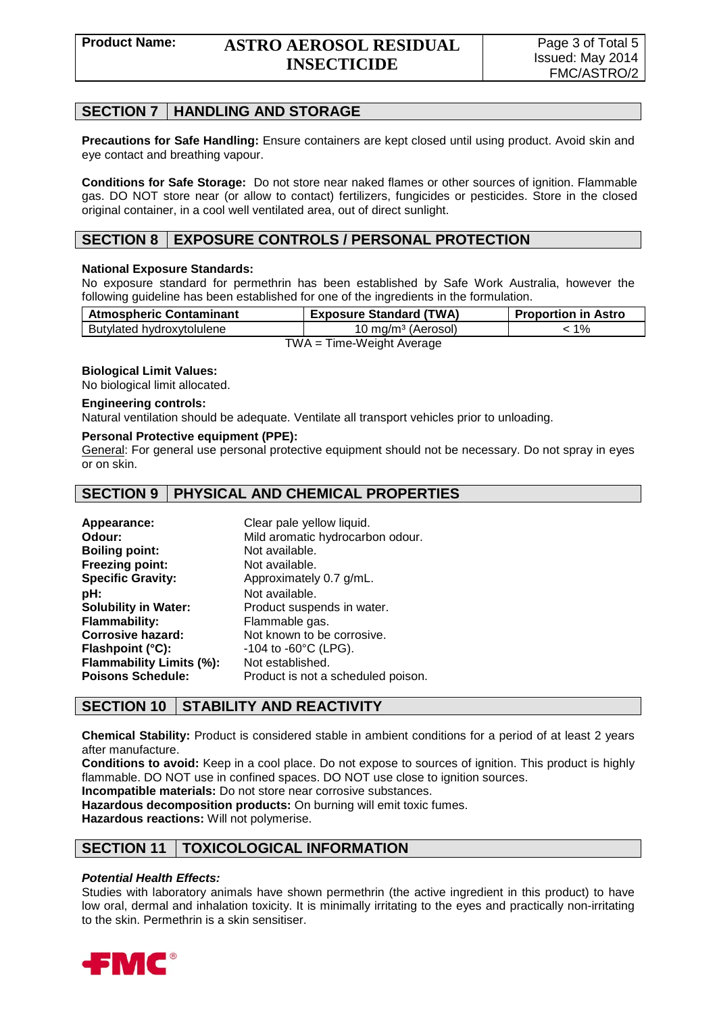## **SECTION 7 HANDLING AND STORAGE**

**Precautions for Safe Handling:** Ensure containers are kept closed until using product. Avoid skin and eye contact and breathing vapour.

**Conditions for Safe Storage:** Do not store near naked flames or other sources of ignition. Flammable gas. DO NOT store near (or allow to contact) fertilizers, fungicides or pesticides. Store in the closed original container, in a cool well ventilated area, out of direct sunlight.

## **SECTION 8 EXPOSURE CONTROLS / PERSONAL PROTECTION**

#### **National Exposure Standards:**

No exposure standard for permethrin has been established by Safe Work Australia, however the following guideline has been established for one of the ingredients in the formulation.

| <b>Atmospheric Contaminant</b> | <b>Exposure Standard (TWA)</b>         | <b>Proportion in Astro</b> |
|--------------------------------|----------------------------------------|----------------------------|
| Butylated hydroxytolulene      | 10 mg/m <sup>3</sup> (Aerosol)         | : 1%                       |
| — 1 A J A                      | $\mathbf{r}$ . The set of $\mathbf{r}$ |                            |

TWA = Time-Weight Average

#### **Biological Limit Values:**

No biological limit allocated.

#### **Engineering controls:**

Natural ventilation should be adequate. Ventilate all transport vehicles prior to unloading.

#### **Personal Protective equipment (PPE):**

General: For general use personal protective equipment should not be necessary. Do not spray in eyes or on skin.

#### **SECTION 9 PHYSICAL AND CHEMICAL PROPERTIES**

| Appearance:                 | Clear pale yellow liquid.          |
|-----------------------------|------------------------------------|
| Odour:                      | Mild aromatic hydrocarbon odour.   |
| <b>Boiling point:</b>       | Not available.                     |
| <b>Freezing point:</b>      | Not available.                     |
| <b>Specific Gravity:</b>    | Approximately 0.7 g/mL.            |
| pH:                         | Not available.                     |
| <b>Solubility in Water:</b> | Product suspends in water.         |
| <b>Flammability:</b>        | Flammable gas.                     |
| <b>Corrosive hazard:</b>    | Not known to be corrosive.         |
| Flashpoint (°C):            | $-104$ to $-60^{\circ}$ C (LPG).   |
| Flammability Limits (%):    | Not established.                   |
| <b>Poisons Schedule:</b>    | Product is not a scheduled poison. |

## **SECTION 10 STABILITY AND REACTIVITY**

**Chemical Stability:** Product is considered stable in ambient conditions for a period of at least 2 years after manufacture.

**Conditions to avoid:** Keep in a cool place. Do not expose to sources of ignition. This product is highly flammable. DO NOT use in confined spaces. DO NOT use close to ignition sources.

**Incompatible materials:** Do not store near corrosive substances.

**Hazardous decomposition products:** On burning will emit toxic fumes.

**Hazardous reactions:** Will not polymerise.

## **SECTION 11 TOXICOLOGICAL INFORMATION**

#### *Potential Health Effects:*

Studies with laboratory animals have shown permethrin (the active ingredient in this product) to have low oral, dermal and inhalation toxicity. It is minimally irritating to the eyes and practically non-irritating to the skin. Permethrin is a skin sensitiser.

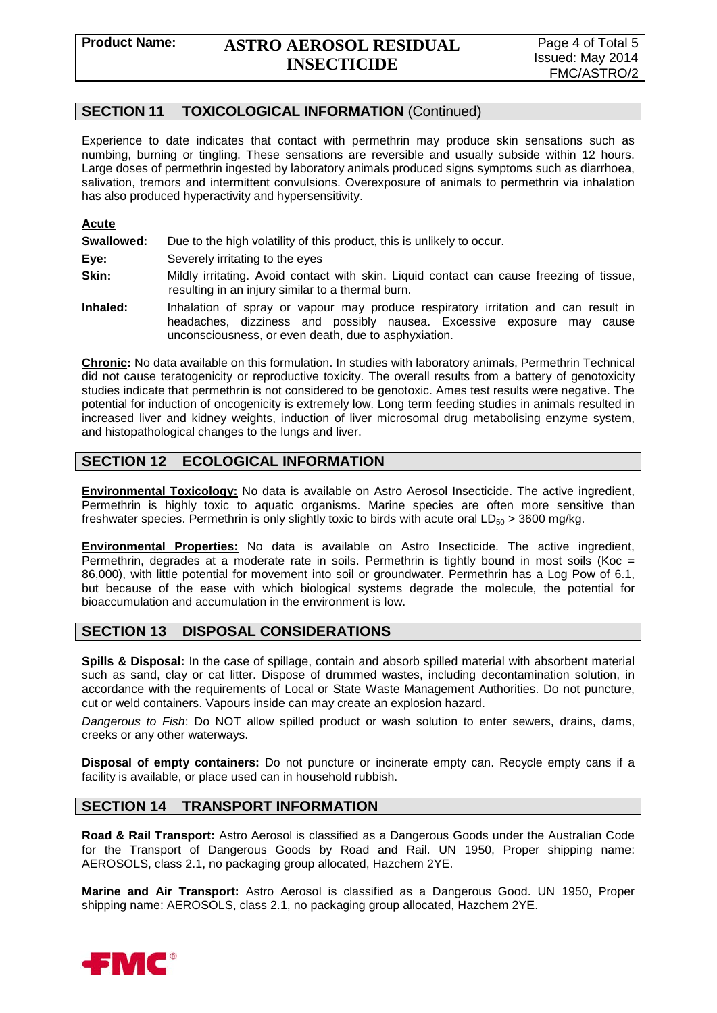## **SECTION 11 TOXICOLOGICAL INFORMATION** (Continued)

Experience to date indicates that contact with permethrin may produce skin sensations such as numbing, burning or tingling. These sensations are reversible and usually subside within 12 hours. Large doses of permethrin ingested by laboratory animals produced signs symptoms such as diarrhoea, salivation, tremors and intermittent convulsions. Overexposure of animals to permethrin via inhalation has also produced hyperactivity and hypersensitivity.

#### **Acute**

**Swallowed:** Due to the high volatility of this product, this is unlikely to occur.

**Eye:** Severely irritating to the eyes

**Skin:** Mildly irritating. Avoid contact with skin. Liquid contact can cause freezing of tissue, resulting in an injury similar to a thermal burn.

**Inhaled:** Inhalation of spray or vapour may produce respiratory irritation and can result in headaches, dizziness and possibly nausea. Excessive exposure may cause unconsciousness, or even death, due to asphyxiation.

**Chronic:** No data available on this formulation. In studies with laboratory animals, Permethrin Technical did not cause teratogenicity or reproductive toxicity. The overall results from a battery of genotoxicity studies indicate that permethrin is not considered to be genotoxic. Ames test results were negative. The potential for induction of oncogenicity is extremely low. Long term feeding studies in animals resulted in increased liver and kidney weights, induction of liver microsomal drug metabolising enzyme system, and histopathological changes to the lungs and liver.

## **SECTION 12 | ECOLOGICAL INFORMATION**

**Environmental Toxicology:** No data is available on Astro Aerosol Insecticide. The active ingredient, Permethrin is highly toxic to aquatic organisms. Marine species are often more sensitive than freshwater species. Permethrin is only slightly toxic to birds with acute oral  $LD_{50} > 3600$  mg/kg.

**Environmental Properties:** No data is available on Astro Insecticide. The active ingredient, Permethrin, degrades at a moderate rate in soils. Permethrin is tightly bound in most soils (Koc = 86,000), with little potential for movement into soil or groundwater. Permethrin has a Log Pow of 6.1, but because of the ease with which biological systems degrade the molecule, the potential for bioaccumulation and accumulation in the environment is low.

## **SECTION 13 DISPOSAL CONSIDERATIONS**

**Spills & Disposal:** In the case of spillage, contain and absorb spilled material with absorbent material such as sand, clay or cat litter. Dispose of drummed wastes, including decontamination solution, in accordance with the requirements of Local or State Waste Management Authorities. Do not puncture, cut or weld containers. Vapours inside can may create an explosion hazard.

*Dangerous to Fish*: Do NOT allow spilled product or wash solution to enter sewers, drains, dams, creeks or any other waterways.

**Disposal of empty containers:** Do not puncture or incinerate empty can. Recycle empty cans if a facility is available, or place used can in household rubbish.

## **SECTION 14 | TRANSPORT INFORMATION**

**Road & Rail Transport:** Astro Aerosol is classified as a Dangerous Goods under the Australian Code for the Transport of Dangerous Goods by Road and Rail. UN 1950, Proper shipping name: AEROSOLS, class 2.1, no packaging group allocated, Hazchem 2YE.

**Marine and Air Transport:** Astro Aerosol is classified as a Dangerous Good. UN 1950, Proper shipping name: AEROSOLS, class 2.1, no packaging group allocated, Hazchem 2YE.